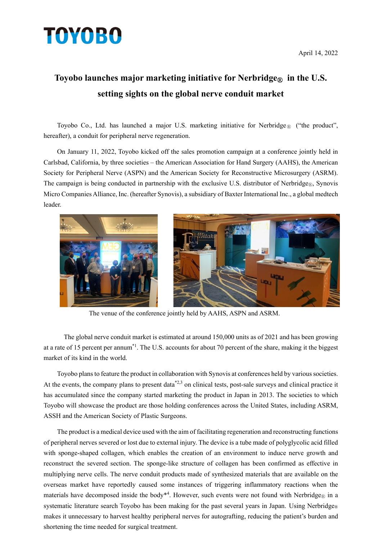## **TOYOBO**

## Toyobo launches major marketing initiative for Nerbridge<sub>®</sub> in the U.S. **setting sights on the global nerve conduit market**

Toyobo Co., Ltd. has launched a major U.S. marketing initiative for Nerbridge  $\mathbb{R}$  ("the product", hereafter), a conduit for peripheral nerve regeneration.

On January 11, 2022, Toyobo kicked off the sales promotion campaign at a conference jointly held in Carlsbad, California, by three societies – the American Association for Hand Surgery (AAHS), the American Society for Peripheral Nerve (ASPN) and the American Society for Reconstructive Microsurgery (ASRM). The campaign is being conducted in partnership with the exclusive U.S. distributor of Nerbridge<sub>®</sub>, Synovis Micro Companies Alliance, Inc. (hereafter Synovis), a subsidiary of Baxter International Inc., a global medtech leader.





The venue of the conference jointly held by AAHS, ASPN and ASRM.

The global nerve conduit market is estimated at around 150,000 units as of 2021 and has been growing at a rate of 15 percent per annum\*1. The U.S. accounts for about 70 percent of the share, making it the biggest market of its kind in the world.

Toyobo plans to feature the product in collaboration with Synovis at conferences held by various societies. At the events, the company plans to present data<sup> $2,3$ </sup> on clinical tests, post-sale surveys and clinical practice it has accumulated since the company started marketing the product in Japan in 2013. The societies to which Toyobo will showcase the product are those holding conferences across the United States, including ASRM, ASSH and the American Society of Plastic Surgeons.

The product is a medical device used with the aim of facilitating regeneration and reconstructing functions of peripheral nerves severed or lost due to external injury. The device is a tube made of polyglycolic acid filled with sponge-shaped collagen, which enables the creation of an environment to induce nerve growth and reconstruct the severed section. The sponge-like structure of collagen has been confirmed as effective in multiplying nerve cells. The nerve conduit products made of synthesized materials that are available on the overseas market have reportedly caused some instances of triggering inflammatory reactions when the materials have decomposed inside the body<sup>\*4</sup>. However, such events were not found with Nerbridge<sub>®</sub> in a systematic literature search Toyobo has been making for the past several years in Japan. Using Nerbridge® makes it unnecessary to harvest healthy peripheral nerves for autografting, reducing the patient's burden and shortening the time needed for surgical treatment.